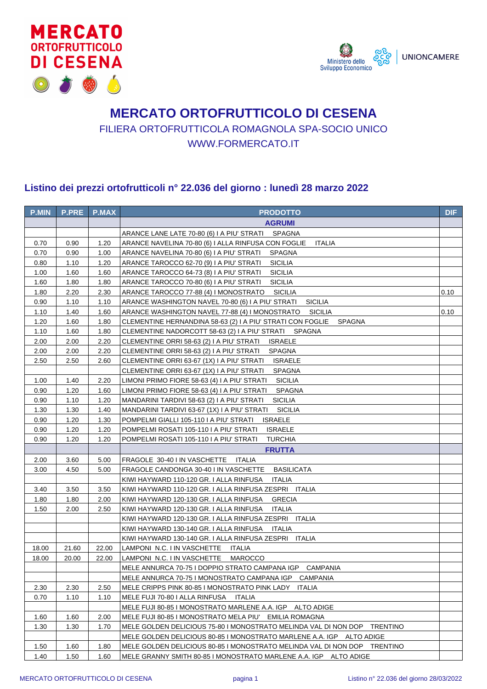



## **MERCATO ORTOFRUTTICOLO DI CESENA** FILIERA ORTOFRUTTICOLA ROMAGNOLA SPA-SOCIO UNICO WWW.FORMERCATO.IT

## **Listino dei prezzi ortofrutticoli n° 22.036 del giorno : lunedì 28 marzo 2022**

| <b>P.MIN</b> | <b>P.PRE</b> | <b>P.MAX</b> | <b>PRODOTTO</b>                                                                                     | <b>DIF</b> |
|--------------|--------------|--------------|-----------------------------------------------------------------------------------------------------|------------|
|              |              |              | <b>AGRUMI</b>                                                                                       |            |
|              |              |              | ARANCE LANE LATE 70-80 (6) I A PIU' STRATI SPAGNA                                                   |            |
| 0.70         | 0.90         | 1.20         | ARANCE NAVELINA 70-80 (6) I ALLA RINFUSA CON FOGLIE<br><b>ITALIA</b>                                |            |
| 0.70         | 0.90         | 1.00         | ARANCE NAVELINA 70-80 (6) I A PIU' STRATI<br><b>SPAGNA</b>                                          |            |
| 0.80         | 1.10         | 1.20         | <b>SICILIA</b><br>ARANCE TAROCCO 62-70 (9) I A PIU' STRATI                                          |            |
| 1.00         | 1.60         | 1.60         | <b>SICILIA</b><br>ARANCE TAROCCO 64-73 (8) I A PIU' STRATI                                          |            |
| 1.60         | 1.80         | 1.80         | ARANCE TAROCCO 70-80 (6) I A PIU' STRATI<br><b>SICILIA</b>                                          |            |
| 1.80         | 2.20         | 2.30         | ARANCE TAROCCO 77-88 (4) I MONOSTRATO<br><b>SICILIA</b>                                             | 0.10       |
| 0.90         | 1.10         | 1.10         | <b>SICILIA</b><br>ARANCE WASHINGTON NAVEL 70-80 (6) I A PIU' STRATI                                 |            |
| 1.10         | 1.40         | 1.60         | ARANCE WASHINGTON NAVEL 77-88 (4) I MONOSTRATO<br>SICILIA                                           | 0.10       |
| 1.20         | 1.60         | 1.80         | CLEMENTINE HERNANDINA 58-63 (2) I A PIU' STRATI CON FOGLIE<br><b>SPAGNA</b>                         |            |
| 1.10         | 1.60         | 1.80         | CLEMENTINE NADORCOTT 58-63 (2) I A PIU' STRATI SPAGNA                                               |            |
| 2.00         | 2.00         | 2.20         | <b>ISRAELE</b><br>CLEMENTINE ORRI 58-63 (2) I A PIU' STRATI                                         |            |
| 2.00         | 2.00         | 2.20         | CLEMENTINE ORRI 58-63 (2) I A PIU' STRATI<br><b>SPAGNA</b>                                          |            |
| 2.50         | 2.50         | 2.60         | CLEMENTINE ORRI 63-67 (1X) I A PIU' STRATI<br><b>ISRAELE</b>                                        |            |
|              |              |              | CLEMENTINE ORRI 63-67 (1X) I A PIU' STRATI<br><b>SPAGNA</b>                                         |            |
| 1.00         | 1.40         | 2.20         | LIMONI PRIMO FIORE 58-63 (4) I A PIU' STRATI<br><b>SICILIA</b>                                      |            |
| 0.90         | 1.20         | 1.60         | LIMONI PRIMO FIORE 58-63 (4) I A PIU' STRATI<br><b>SPAGNA</b>                                       |            |
| 0.90         | 1.10         | 1.20         | <b>SICILIA</b><br>MANDARINI TARDIVI 58-63 (2) I A PIU' STRATI                                       |            |
| 1.30         | 1.30         | 1.40         | <b>SICILIA</b><br>MANDARINI TARDIVI 63-67 (1X) I A PIU' STRATI                                      |            |
| 0.90         | 1.20         | 1.30         | POMPELMI GIALLI 105-110 I A PIU' STRATI<br><b>ISRAELE</b>                                           |            |
| 0.90         | 1.20         | 1.20         | POMPELMI ROSATI 105-110 I A PIU' STRATI<br><b>ISRAELE</b>                                           |            |
| 0.90         | 1.20         | 1.20         | POMPELMI ROSATI 105-110 I A PIU' STRATI<br><b>TURCHIA</b>                                           |            |
|              |              |              | <b>FRUTTA</b>                                                                                       |            |
| 2.00         | 3.60         | 5.00         | FRAGOLE 30-40 I IN VASCHETTE<br>ITALIA                                                              |            |
| 3.00         | 4.50         | 5.00         | <b>BASILICATA</b><br>FRAGOLE CANDONGA 30-40 I IN VASCHETTE                                          |            |
|              |              |              | KIWI HAYWARD 110-120 GR. I ALLA RINFUSA<br><b>ITALIA</b>                                            |            |
| 3.40         | 3.50         | 3.50         | KIWI HAYWARD 110-120 GR. I ALLA RINFUSA ZESPRI ITALIA                                               |            |
| 1.80         | 1.80         | 2.00         | KIWI HAYWARD 120-130 GR. I ALLA RINFUSA<br><b>GRECIA</b>                                            |            |
| 1.50         | 2.00         | 2.50         | KIWI HAYWARD 120-130 GR. I ALLA RINFUSA<br><b>ITALIA</b>                                            |            |
|              |              |              | KIWI HAYWARD 120-130 GR. I ALLA RINFUSA ZESPRI ITALIA<br>ITALIA                                     |            |
|              |              |              | KIWI HAYWARD 130-140 GR. I ALLA RINFUSA<br>KIWI HAYWARD 130-140 GR. I ALLA RINFUSA ZESPRI<br>ITALIA |            |
| 18.00        | 21.60        | 22.00        | LAMPONI N.C. I IN VASCHETTE<br>ITALIA                                                               |            |
| 18.00        | 20.00        | 22.00        | LAMPONI N.C. I IN VASCHETTE<br><b>MAROCCO</b>                                                       |            |
|              |              |              | MELE ANNURCA 70-75 I DOPPIO STRATO CAMPANA IGP CAMPANIA                                             |            |
|              |              |              | MELE ANNURCA 70-75 I MONOSTRATO CAMPANA IGP CAMPANIA                                                |            |
| 2.30         | 2.30         | 2.50         | MELE CRIPPS PINK 80-85 I MONOSTRATO PINK LADY ITALIA                                                |            |
| 0.70         | 1.10         | 1.10         | MELE FUJI 70-80 I ALLA RINFUSA<br>ITALIA                                                            |            |
|              |              |              | MELE FUJI 80-85 I MONOSTRATO MARLENE A.A. IGP ALTO ADIGE                                            |            |
| 1.60         | 1.60         | 2.00         | MELE FUJI 80-85 I MONOSTRATO MELA PIU' EMILIA ROMAGNA                                               |            |
| 1.30         | 1.30         | 1.70         | MELE GOLDEN DELICIOUS 75-80 I MONOSTRATO MELINDA VAL DI NON DOP TRENTINO                            |            |
|              |              |              | MELE GOLDEN DELICIOUS 80-85 I MONOSTRATO MARLENE A.A. IGP ALTO ADIGE                                |            |
| 1.50         | 1.60         | 1.80         | MELE GOLDEN DELICIOUS 80-85 I MONOSTRATO MELINDA VAL DI NON DOP TRENTINO                            |            |
| 1.40         | 1.50         | 1.60         | MELE GRANNY SMITH 80-85 I MONOSTRATO MARLENE A.A. IGP ALTO ADIGE                                    |            |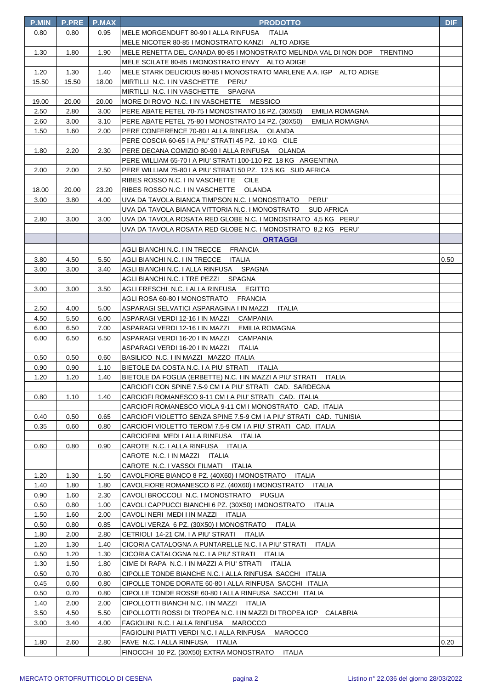| <b>P.MIN</b> | <b>P.PRE</b> | P.MAX | <b>PRODOTTO</b>                                                                                                                  | <b>DIF</b> |
|--------------|--------------|-------|----------------------------------------------------------------------------------------------------------------------------------|------------|
| 0.80         | 0.80         | 0.95  | MELE MORGENDUFT 80-90   ALLA RINFUSA ITALIA                                                                                      |            |
|              |              |       | MELE NICOTER 80-85 I MONOSTRATO KANZI ALTO ADIGE                                                                                 |            |
| 1.30         | 1.80         | 1.90  | MELE RENETTA DEL CANADA 80-85 I MONOSTRATO MELINDA VAL DI NON DOP TRENTINO                                                       |            |
|              |              |       | MELE SCILATE 80-85 I MONOSTRATO ENVY ALTO ADIGE                                                                                  |            |
| 1.20         | 1.30         | 1.40  | MELE STARK DELICIOUS 80-85 I MONOSTRATO MARLENE A.A. IGP ALTO ADIGE                                                              |            |
| 15.50        | 15.50        | 18.00 | MIRTILLI N.C. I IN VASCHETTE PERU'                                                                                               |            |
|              |              |       | MIRTILLI N.C. I IN VASCHETTE SPAGNA                                                                                              |            |
| 19.00        | 20.00        | 20.00 | MORE DI ROVO N.C. I IN VASCHETTE MESSICO                                                                                         |            |
| 2.50         | 2.80         | 3.00  | PERE ABATE FETEL 70-75 I MONOSTRATO 16 PZ. (30X50)<br>EMILIA ROMAGNA                                                             |            |
| 2.60         | 3.00         | 3.10  | PERE ABATE FETEL 75-80 I MONOSTRATO 14 PZ. (30X50)<br>EMILIA ROMAGNA                                                             |            |
| 1.50         | 1.60         | 2.00  | PERE CONFERENCE 70-80   ALLA RINFUSA OLANDA                                                                                      |            |
|              |              |       | PERE COSCIA 60-65 I A PIU' STRATI 45 PZ. 10 KG CILE                                                                              |            |
| 1.80         | 2.20         | 2.30  | PERE DECANA COMIZIO 80-90 I ALLA RINFUSA OLANDA                                                                                  |            |
|              |              |       | PERE WILLIAM 65-70 I A PIU' STRATI 100-110 PZ 18 KG ARGENTINA                                                                    |            |
| 2.00         | 2.00         | 2.50  | PERE WILLIAM 75-80 I A PIU' STRATI 50 PZ. 12,5 KG SUD AFRICA                                                                     |            |
|              |              |       | RIBES ROSSO N.C. I IN VASCHETTE CILE                                                                                             |            |
| 18.00        | 20.00        | 23.20 | RIBES ROSSO N.C. I IN VASCHETTE OLANDA                                                                                           |            |
| 3.00         | 3.80         | 4.00  | UVA DA TAVOLA BIANCA TIMPSON N.C. I MONOSTRATO<br>PERU'                                                                          |            |
|              |              |       | UVA DA TAVOLA BIANCA VITTORIA N.C. I MONOSTRATO<br>SUD AFRICA                                                                    |            |
| 2.80         | 3.00         | 3.00  | UVA DA TAVOLA ROSATA RED GLOBE N.C. I MONOSTRATO 4,5 KG PERU'                                                                    |            |
|              |              |       | UVA DA TAVOLA ROSATA RED GLOBE N.C. I MONOSTRATO  8,2 KG   PERU'                                                                 |            |
|              |              |       | <b>ORTAGGI</b>                                                                                                                   |            |
|              |              |       | AGLI BIANCHI N.C. I IN TRECCE<br><b>FRANCIA</b>                                                                                  |            |
| 3.80         | 4.50         | 5.50  | AGLI BIANCHI N.C. I IN TRECCE ITALIA                                                                                             | 0.50       |
| 3.00         | 3.00         | 3.40  | AGLI BIANCHI N.C. I ALLA RINFUSA SPAGNA                                                                                          |            |
|              |              |       | AGLI BIANCHI N.C. I TRE PEZZI<br>SPAGNA                                                                                          |            |
| 3.00         | 3.00         | 3.50  | <b>EGITTO</b><br>AGLI FRESCHI N.C. I ALLA RINFUSA                                                                                |            |
|              |              |       | AGLI ROSA 60-80 I MONOSTRATO<br><b>FRANCIA</b>                                                                                   |            |
| 2.50         | 4.00         | 5.00  | ASPARAGI SELVATICI ASPARAGINA I IN MAZZI<br><b>ITALIA</b>                                                                        |            |
| 4.50         | 5.50         | 6.00  | ASPARAGI VERDI 12-16 I IN MAZZI<br>CAMPANIA                                                                                      |            |
| 6.00         | 6.50         | 7.00  | ASPARAGI VERDI 12-16 I IN MAZZI<br>EMILIA ROMAGNA                                                                                |            |
| 6.00         | 6.50         | 6.50  | ASPARAGI VERDI 16-20 I IN MAZZI<br><b>CAMPANIA</b>                                                                               |            |
|              |              |       | ASPARAGI VERDI 16-20 I IN MAZZI<br>ITALIA                                                                                        |            |
| 0.50         | 0.50         | 0.60  | BASILICO N.C. I IN MAZZI MAZZO ITALIA                                                                                            |            |
| 0.90         | 0.90         | 1.10  | BIETOLE DA COSTA N.C. I A PIU' STRATI ITALIA                                                                                     |            |
| 1.20         | 1.20         | 1.40  | BIETOLE DA FOGLIA (ERBETTE) N.C. I IN MAZZI A PIU' STRATI<br>ITALIA<br>CARCIOFI CON SPINE 7.5-9 CM I A PIU' STRATI CAD. SARDEGNA |            |
| 0.80         | 1.10         | 1.40  | CARCIOFI ROMANESCO 9-11 CM I A PIU' STRATI CAD. ITALIA                                                                           |            |
|              |              |       | CARCIOFI ROMANESCO VIOLA 9-11 CM I MONOSTRATO CAD. ITALIA                                                                        |            |
| 0.40         | 0.50         | 0.65  | CARCIOFI VIOLETTO SENZA SPINE 7.5-9 CM I A PIU' STRATI CAD. TUNISIA                                                              |            |
| 0.35         | 0.60         | 0.80  | CARCIOFI VIOLETTO TEROM 7.5-9 CM I A PIU' STRATI CAD. ITALIA                                                                     |            |
|              |              |       | CARCIOFINI MEDI I ALLA RINFUSA ITALIA                                                                                            |            |
| 0.60         | 0.80         | 0.90  | CAROTE N.C. I ALLA RINFUSA<br>ITALIA                                                                                             |            |
|              |              |       | CAROTE N.C. I IN MAZZI ITALIA                                                                                                    |            |
|              |              |       | CAROTE N.C. I VASSOI FILMATI ITALIA                                                                                              |            |
| 1.20         | 1.30         | 1.50  | CAVOLFIORE BIANCO 8 PZ. (40X60) I MONOSTRATO<br>ITALIA                                                                           |            |
| 1.40         | 1.80         | 1.80  | CAVOLFIORE ROMANESCO 6 PZ. (40X60) I MONOSTRATO<br><b>ITALIA</b>                                                                 |            |
| 0.90         | 1.60         | 2.30  | CAVOLI BROCCOLI N.C. I MONOSTRATO PUGLIA                                                                                         |            |
| 0.50         | 0.80         | 1.00  | CAVOLI CAPPUCCI BIANCHI 6 PZ. (30X50) I MONOSTRATO<br><b>ITALIA</b>                                                              |            |
| 1.50         | 1.60         | 2.00  | CAVOLI NERI MEDI I IN MAZZI ITALIA                                                                                               |            |
| 0.50         | 0.80         | 0.85  | CAVOLI VERZA 6 PZ. (30X50) I MONOSTRATO<br>ITALIA                                                                                |            |
| 1.80         | 2.00         | 2.80  | CETRIOLI 14-21 CM. I A PIU' STRATI ITALIA                                                                                        |            |
| 1.20         | 1.30         | 1.40  | CICORIA CATALOGNA A PUNTARELLE N.C. I A PIU' STRATI ITALIA                                                                       |            |
| 0.50         | 1.20         | 1.30  | CICORIA CATALOGNA N.C. I A PIU' STRATI ITALIA                                                                                    |            |
| 1.30         | 1.50         | 1.80  | CIME DI RAPA N.C. I IN MAZZI A PIU' STRATI ITALIA                                                                                |            |
| 0.50         | 0.70         | 0.80  | CIPOLLE TONDE BIANCHE N.C. I ALLA RINFUSA SACCHI ITALIA                                                                          |            |
| 0.45         | 0.60         | 0.80  | CIPOLLE TONDE DORATE 60-80   ALLA RINFUSA SACCHI ITALIA                                                                          |            |
| 0.50         | 0.70         | 0.80  | CIPOLLE TONDE ROSSE 60-80   ALLA RINFUSA SACCHI ITALIA                                                                           |            |
| 1.40         | 2.00         | 2.00  | CIPOLLOTTI BIANCHI N.C. I IN MAZZI ITALIA                                                                                        |            |
| 3.50         | 4.50         | 5.50  | CIPOLLOTTI ROSSI DI TROPEA N.C. I IN MAZZI DI TROPEA IGP CALABRIA                                                                |            |
| 3.00         | 3.40         | 4.00  | FAGIOLINI N.C. I ALLA RINFUSA MAROCCO                                                                                            |            |
|              |              |       | FAGIOLINI PIATTI VERDI N.C. I ALLA RINFUSA<br>MAROCCO                                                                            |            |
| 1.80         | 2.60         | 2.80  | FAVE N.C. I ALLA RINFUSA ITALIA                                                                                                  | 0.20       |
|              |              |       | FINOCCHI 10 PZ. (30X50) EXTRA MONOSTRATO ITALIA                                                                                  |            |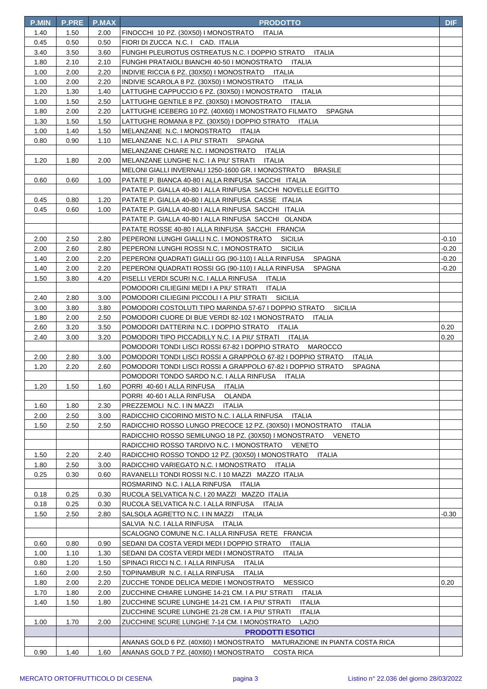| <b>P.MIN</b> | <b>P.PRE</b> | P.MAX | <b>PRODOTTO</b>                                                                                                                          | <b>DIF</b> |
|--------------|--------------|-------|------------------------------------------------------------------------------------------------------------------------------------------|------------|
| 1.40         | 1.50         | 2.00  | FINOCCHI 10 PZ. (30X50) I MONOSTRATO<br>ITALIA                                                                                           |            |
| 0.45         | 0.50         | 0.50  | FIORI DI ZUCCA N.C. I CAD. ITALIA                                                                                                        |            |
| 3.40         | 3.50         | 3.60  | FUNGHI PLEUROTUS OSTREATUS N.C. I DOPPIO STRATO<br>ITALIA                                                                                |            |
| 1.80         | 2.10         | 2.10  | FUNGHI PRATAIOLI BIANCHI 40-50 I MONOSTRATO ITALIA                                                                                       |            |
| 1.00         | 2.00         | 2.20  | INDIVIE RICCIA 6 PZ. (30X50) I MONOSTRATO<br>ITALIA                                                                                      |            |
| 1.00         | 2.00         | 2.20  | INDIVIE SCAROLA 8 PZ. (30X50) I MONOSTRATO ITALIA                                                                                        |            |
| 1.20         | 1.30         | 1.40  | LATTUGHE CAPPUCCIO 6 PZ. (30X50) I MONOSTRATO ITALIA                                                                                     |            |
| 1.00         | 1.50         | 2.50  | LATTUGHE GENTILE 8 PZ. (30X50) I MONOSTRATO<br>ITALIA                                                                                    |            |
| 1.80         | 2.00         | 2.20  | LATTUGHE ICEBERG 10 PZ. (40X60) I MONOSTRATO FILMATO<br><b>SPAGNA</b>                                                                    |            |
| 1.30         | 1.50         | 1.50  | LATTUGHE ROMANA 8 PZ. (30X50) I DOPPIO STRATO<br>ITALIA                                                                                  |            |
| 1.00         | 1.40         | 1.50  | MELANZANE N.C. I MONOSTRATO ITALIA                                                                                                       |            |
| 0.80         | 0.90         | 1.10  | MELANZANE N.C. I A PIU' STRATI<br>SPAGNA                                                                                                 |            |
|              |              |       | MELANZANE CHIARE N.C. I MONOSTRATO ITALIA                                                                                                |            |
| 1.20         | 1.80         | 2.00  | MELANZANE LUNGHE N.C. I A PIU' STRATI<br>ITALIA                                                                                          |            |
|              |              |       | MELONI GIALLI INVERNALI 1250-1600 GR. I MONOSTRATO<br><b>BRASILE</b>                                                                     |            |
| 0.60         | 0.60         | 1.00  | PATATE P. BIANCA 40-80 I ALLA RINFUSA SACCHI ITALIA                                                                                      |            |
|              |              |       | PATATE P. GIALLA 40-80 I ALLA RINFUSA SACCHI NOVELLE EGITTO                                                                              |            |
| 0.45         | 0.80         | 1.20  | PATATE P. GIALLA 40-80   ALLA RINFUSA CASSE ITALIA                                                                                       |            |
| 0.45         | 0.60         | 1.00  | PATATE P. GIALLA 40-80 I ALLA RINFUSA SACCHI ITALIA                                                                                      |            |
|              |              |       | PATATE P. GIALLA 40-80 I ALLA RINFUSA SACCHI OLANDA                                                                                      |            |
|              |              |       | PATATE ROSSE 40-80 I ALLA RINFUSA SACCHI FRANCIA                                                                                         |            |
| 2.00         | 2.50         | 2.80  | PEPERONI LUNGHI GIALLI N.C. I MONOSTRATO<br><b>SICILIA</b>                                                                               | -0.10      |
| 2.00         | 2.60         | 2.80  | PEPERONI LUNGHI ROSSI N.C. I MONOSTRATO<br>SICILIA                                                                                       | -0.20      |
| 1.40         | 2.00         | 2.20  | PEPERONI QUADRATI GIALLI GG (90-110) I ALLA RINFUSA<br>SPAGNA                                                                            | $-0.20$    |
| 1.40         | 2.00         | 2.20  | PEPERONI QUADRATI ROSSI GG (90-110) I ALLA RINFUSA<br><b>SPAGNA</b>                                                                      | -0.20      |
| 1.50         | 3.80         | 4.20  | PISELLI VERDI SCURI N.C. I ALLA RINFUSA ITALIA                                                                                           |            |
|              |              |       | POMODORI CILIEGINI MEDI I A PIU' STRATI<br>ITALIA                                                                                        |            |
| 2.40         | 2.80         | 3.00  | POMODORI CILIEGINI PICCOLI I A PIU' STRATI SICILIA                                                                                       |            |
| 3.00         | 3.80         | 3.80  | POMODORI COSTOLUTI TIPO MARINDA 57-67 I DOPPIO STRATO<br>SICILIA                                                                         |            |
| 1.80         | 2.00         | 2.50  | POMODORI CUORE DI BUE VERDI 82-102 I MONOSTRATO<br>ITALIA                                                                                |            |
| 2.60         | 3.20         | 3.50  | POMODORI DATTERINI N.C. I DOPPIO STRATO<br>ITALIA                                                                                        | 0.20       |
| 2.40         | 3.00         | 3.20  | POMODORI TIPO PICCADILLY N.C. I A PIU' STRATI<br>ITALIA                                                                                  | 0.20       |
| 2.00         | 2.80         | 3.00  | POMODORI TONDI LISCI ROSSI 67-82 I DOPPIO STRATO MAROCCO<br>POMODORI TONDI LISCI ROSSI A GRAPPOLO 67-82 I DOPPIO STRATO<br><b>ITALIA</b> |            |
| 1.20         | 2.20         | 2.60  | POMODORI TONDI LISCI ROSSI A GRAPPOLO 67-82 I DOPPIO STRATO<br><b>SPAGNA</b>                                                             |            |
|              |              |       | POMODORI TONDO SARDO N.C. I ALLA RINFUSA ITALIA                                                                                          |            |
| 1.20         | 1.50         | 1.60  | PORRI 40-60 I ALLA RINFUSA<br><b>ITALIA</b>                                                                                              |            |
|              |              |       | PORRI 40-60   ALLA RINFUSA<br><b>OLANDA</b>                                                                                              |            |
| 1.60         | 1.80         | 2.30  | PREZZEMOLI N.C. I IN MAZZI<br><b>ITALIA</b>                                                                                              |            |
| 2.00         | 2.50         | 3.00  | RADICCHIO CICORINO MISTO N.C. I ALLA RINFUSA<br>ITALIA                                                                                   |            |
| 1.50         | 2.50         | 2.50  | RADICCHIO ROSSO LUNGO PRECOCE 12 PZ. (30X50) I MONOSTRATO<br><b>ITALIA</b>                                                               |            |
|              |              |       | RADICCHIO ROSSO SEMILUNGO 18 PZ. (30X50) I MONOSTRATO<br><b>VENETO</b>                                                                   |            |
|              |              |       | RADICCHIO ROSSO TARDIVO N.C. I MONOSTRATO VENETO                                                                                         |            |
| 1.50         | 2.20         | 2.40  | RADICCHIO ROSSO TONDO 12 PZ. (30X50) I MONOSTRATO<br>ITALIA                                                                              |            |
| 1.80         | 2.50         | 3.00  | RADICCHIO VARIEGATO N.C. I MONOSTRATO<br>ITALIA                                                                                          |            |
| 0.25         | 0.30         | 0.60  | RAVANELLI TONDI ROSSI N.C. I 10 MAZZI MAZZO ITALIA                                                                                       |            |
|              |              |       | ROSMARINO N.C. I ALLA RINFUSA<br>ITALIA                                                                                                  |            |
| 0.18         | 0.25         | 0.30  | RUCOLA SELVATICA N.C. I 20 MAZZI MAZZO ITALIA                                                                                            |            |
| 0.18         | 0.25         | 0.30  | RUCOLA SELVATICA N.C. I ALLA RINFUSA<br>ITALIA                                                                                           |            |
| 1.50         | 2.50         | 2.80  | SALSOLA AGRETTO N.C. I IN MAZZI<br>ITALIA                                                                                                | -0.30      |
|              |              |       | SALVIA N.C. I ALLA RINFUSA<br>ITALIA                                                                                                     |            |
|              |              |       | SCALOGNO COMUNE N.C. I ALLA RINFUSA RETE FRANCIA                                                                                         |            |
| 0.60         | 0.80         | 0.90  | SEDANI DA COSTA VERDI MEDI I DOPPIO STRATO<br>ITALIA                                                                                     |            |
| 1.00         | 1.10         | 1.30  | SEDANI DA COSTA VERDI MEDI I MONOSTRATO<br><b>ITALIA</b>                                                                                 |            |
| 0.80         | 1.20         | 1.50  | SPINACI RICCI N.C. I ALLA RINFUSA<br><b>ITALIA</b>                                                                                       |            |
| 1.60         | 2.00         | 2.50  | TOPINAMBUR N.C. I ALLA RINFUSA<br><b>ITALIA</b>                                                                                          |            |
| 1.80         | 2.00         | 2.20  | ZUCCHE TONDE DELICA MEDIE I MONOSTRATO<br><b>MESSICO</b>                                                                                 | 0.20       |
| 1.70         | 1.80         | 2.00  | ZUCCHINE CHIARE LUNGHE 14-21 CM. I A PIU' STRATI<br>ITALIA                                                                               |            |
| 1.40         | 1.50         | 1.80  | ZUCCHINE SCURE LUNGHE 14-21 CM. I A PIU' STRATI<br><b>ITALIA</b>                                                                         |            |
|              |              |       | ZUCCHINE SCURE LUNGHE 21-28 CM. I A PIU' STRATI<br>ITALIA                                                                                |            |
| 1.00         | 1.70         | 2.00  | ZUCCHINE SCURE LUNGHE 7-14 CM. I MONOSTRATO<br>LAZIO                                                                                     |            |
|              |              |       | <b>PRODOTTI ESOTICI</b>                                                                                                                  |            |
|              |              |       | ANANAS GOLD 6 PZ. (40X60) I MONOSTRATO MATURAZIONE IN PIANTA COSTA RICA                                                                  |            |
| 0.90         | 1.40         | 1.60  | ANANAS GOLD 7 PZ. (40X60) I MONOSTRATO<br><b>COSTA RICA</b>                                                                              |            |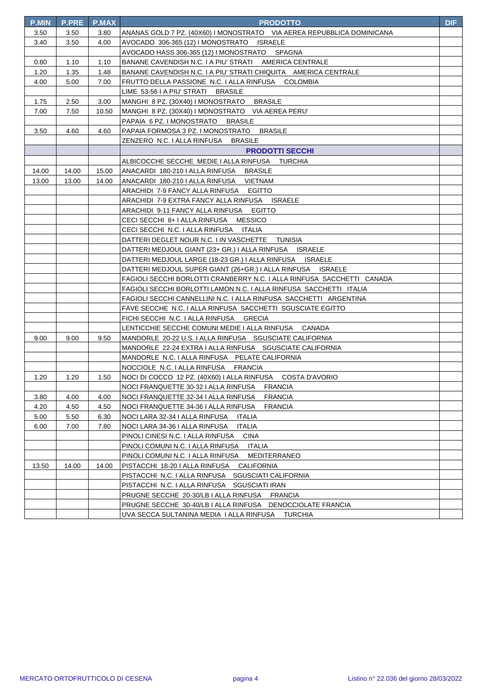| <b>P.MIN</b> | <b>P.PRE</b> | <b>P.MAX</b> | <b>PRODOTTO</b>                                                        | <b>DIF</b> |
|--------------|--------------|--------------|------------------------------------------------------------------------|------------|
| 3.50         | 3.50         | 3.80         | ANANAS GOLD 7 PZ. (40X60) I MONOSTRATO VIA AEREA REPUBBLICA DOMINICANA |            |
| 3.40         | 3.50         | 4.00         | AVOCADO 306-365 (12) I MONOSTRATO ISRAELE                              |            |
|              |              |              | AVOCADO HASS 306-365 (12) I MONOSTRATO SPAGNA                          |            |
| 0.80         | 1.10         | 1.10         | BANANE CAVENDISH N.C. I A PIU' STRATI AMERICA CENTRALE                 |            |
| 1.20         | 1.35         | 1.48         | BANANE CAVENDISH N.C. I A PIU' STRATI CHIQUITA AMERICA CENTRALE        |            |
| 4.00         | 5.00         | 7.00         | FRUTTO DELLA PASSIONE N.C. I ALLA RINFUSA COLOMBIA                     |            |
|              |              |              | LIME 53-56 I A PIU' STRATI BRASILE                                     |            |
| 1.75         | 2.50         | 3.00         | MANGHI 8 PZ. (30X40) I MONOSTRATO BRASILE                              |            |
| 7.00         | 7.50         | 10.50        | MANGHI 8 PZ. (30X40) I MONOSTRATO VIA AEREA PERU'                      |            |
|              |              |              | PAPAIA 6 PZ. I MONOSTRATO BRASILE                                      |            |
| 3.50         | 4.60         | 4.60         | PAPAIA FORMOSA 3 PZ. I MONOSTRATO BRASILE                              |            |
|              |              |              | ZENZERO N.C. I ALLA RINFUSA<br><b>BRASILE</b>                          |            |
|              |              |              | <b>PRODOTTI SECCHI</b>                                                 |            |
|              |              |              | ALBICOCCHE SECCHE MEDIE I ALLA RINFUSA TURCHIA                         |            |
| 14.00        | 14.00        | 15.00        | ANACARDI_180-210   ALLA RINFUSA __ BRASILE                             |            |
| 13.00        | 13.00        | 14.00        | ANACARDI 180-210 I ALLA RINFUSA VIETNAM                                |            |
|              |              |              | ARACHIDI 7-9 FANCY ALLA RINFUSA EGITTO                                 |            |
|              |              |              | ARACHIDI 7-9 EXTRA FANCY ALLA RINFUSA ISRAELE                          |            |
|              |              |              | ARACHIDI 9-11 FANCY ALLA RINFUSA EGITTO                                |            |
|              |              |              | CECI SECCHI 8+ I ALLA RINFUSA MESSICO                                  |            |
|              |              |              | CECI SECCHI N.C. I ALLA RINFUSA ITALIA                                 |            |
|              |              |              | DATTERI DEGLET NOUR N.C. I IN VASCHETTE TUNISIA                        |            |
|              |              |              | DATTERI MEDJOUL GIANT (23+ GR.) I ALLA RINFUSA ISRAELE                 |            |
|              |              |              | DATTERI MEDJOUL LARGE (18-23 GR.) I ALLA RINFUSA ISRAELE               |            |
|              |              |              | DATTERI MEDJOUL SUPER GIANT (26+GR.) I ALLA RINFUSA ISRAELE            |            |
|              |              |              | FAGIOLI SECCHI BORLOTTI CRANBERRY N.C. I ALLA RINFUSA SACCHETTI CANADA |            |
|              |              |              | FAGIOLI SECCHI BORLOTTI LAMON N.C. I ALLA RINFUSA SACCHETTI ITALIA     |            |
|              |              |              | FAGIOLI SECCHI CANNELLINI N.C. I ALLA RINFUSA SACCHETTI ARGENTINA      |            |
|              |              |              | FAVE SECCHE N.C. I ALLA RINFUSA SACCHETTI SGUSCIATE EGITTO             |            |
|              |              |              | FICHI SECCHI N.C. I ALLA RINFUSA GRECIA                                |            |
|              |              |              | LENTICCHIE SECCHE COMUNI MEDIE I ALLA RINFUSA CANADA                   |            |
| 9.00         | 9.00         | 9.50         | MANDORLE 20-22 U.S. I ALLA RINFUSA SGUSCIATE CALIFORNIA                |            |
|              |              |              | MANDORLE 22-24 EXTRA I ALLA RINFUSA SGUSCIATE CALIFORNIA               |            |
|              |              |              | MANDORLE N.C. I ALLA RINFUSA PELATE CALIFORNIA                         |            |
|              |              |              | NOCCIOLE N.C. I ALLA RINFUSA FRANCIA                                   |            |
| 1.20         | 1.20         | 1.50         | NOCI DI COCCO 12 PZ. (40X60) I ALLA RINFUSA<br>COSTA D'AVORIO          |            |
|              |              |              | NOCI FRANQUETTE 30-32 I ALLA RINFUSA<br><b>FRANCIA</b>                 |            |
| 3.80         | 4.00         | 4.00         | <b>FRANCIA</b><br>NOCI FRANQUETTE 32-34   ALLA RINFUSA                 |            |
| 4.20         | 4.50         | 4.50         | NOCI FRANQUETTE 34-36 I ALLA RINFUSA<br><b>FRANCIA</b>                 |            |
| 5.00         | 5.50         | 6.30         | NOCI LARA 32-34   ALLA RINFUSA   ITALIA                                |            |
| 6.00         | 7.00         | 7.80         | <b>ITALIA</b><br>NOCI LARA 34-36 I ALLA RINFUSA                        |            |
|              |              |              | PINOLI CINESI N.C. I ALLA RINFUSA<br><b>CINA</b>                       |            |
|              |              |              | PINOLI COMUNI N.C. I ALLA RINFUSA ITALIA                               |            |
|              |              |              | PINOLI COMUNI N.C. I ALLA RINFUSA MEDITERRANEO                         |            |
| 13.50        | 14.00        | 14.00        | PISTACCHI 18-20 I ALLA RINFUSA CALIFORNIA                              |            |
|              |              |              | PISTACCHI N.C. I ALLA RINFUSA SGUSCIATI CALIFORNIA                     |            |
|              |              |              | PISTACCHI N.C. I ALLA RINFUSA SGUSCIATI IRAN                           |            |
|              |              |              | PRUGNE SECCHE 20-30/LB I ALLA RINFUSA FRANCIA                          |            |
|              |              |              | PRUGNE SECCHE 30-40/LB I ALLA RINFUSA DENOCCIOLATE FRANCIA             |            |
|              |              |              | UVA SECCA SULTANINA MEDIA I ALLA RINFUSA TURCHIA                       |            |